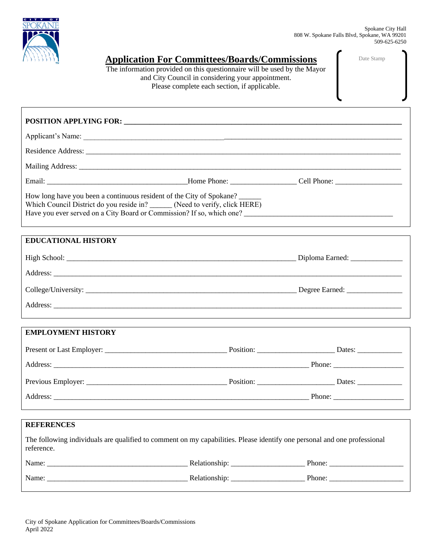

|  |  |  |  |  |  |  |  |  | <b>Application For Committees/Boards/Commissions</b> |
|--|--|--|--|--|--|--|--|--|------------------------------------------------------|
|--|--|--|--|--|--|--|--|--|------------------------------------------------------|

The information provided on this questionnaire will be used by the Mayor and City Council in considering your appointment. Please complete each section, if applicable.

Date Stamp

# **POSITION APPLYING FOR: \_\_\_\_\_\_\_\_\_\_\_\_\_\_\_\_\_\_\_\_\_\_\_\_\_\_\_\_\_\_\_\_\_\_\_\_\_\_\_\_\_\_\_\_\_\_\_\_\_\_\_\_\_\_\_\_\_\_\_\_\_\_\_\_\_\_\_\_\_\_\_\_\_\_\_**  Applicant's Name: \_\_\_\_\_\_\_\_\_\_\_\_\_\_\_\_\_\_\_\_\_\_\_\_\_\_\_\_\_\_\_\_\_\_\_\_\_\_\_\_\_\_\_\_\_\_\_\_\_\_\_\_\_\_\_\_\_\_\_\_\_\_\_\_\_\_\_\_\_\_\_\_\_\_\_\_\_\_\_\_\_\_\_\_\_\_ Residence Address: \_\_\_\_\_\_\_\_\_\_\_\_\_\_\_\_\_\_\_\_\_\_\_\_\_\_\_\_\_\_\_\_\_\_\_\_\_\_\_\_\_\_\_\_\_\_\_\_\_\_\_\_\_\_\_\_\_\_\_\_\_\_\_\_\_\_\_\_\_\_\_\_\_\_\_\_\_\_\_\_\_\_\_\_\_ Mailing Address: \_\_\_\_\_\_\_\_\_\_\_\_\_\_\_\_\_\_\_\_\_\_\_\_\_\_\_\_\_\_\_\_\_\_\_\_\_\_\_\_\_\_\_\_\_\_\_\_\_\_\_\_\_\_\_\_\_\_\_\_\_\_\_\_\_\_\_\_\_\_\_\_\_\_\_\_\_\_\_\_\_\_\_\_\_\_\_ Email: \_\_\_\_\_\_\_\_\_\_\_\_\_\_\_\_\_\_\_\_\_\_\_\_\_\_\_\_\_\_\_\_\_\_\_\_\_\_Home Phone: \_\_\_\_\_\_\_\_\_\_\_\_\_\_\_\_\_\_ Cell Phone: \_\_\_\_\_\_\_\_\_\_\_\_\_\_\_\_\_\_ How long have you been a continuous resident of the City of Spokane? Which Council District do you reside in? \_\_\_\_\_\_ (Need to verify, click [HERE](https://my.spokanecity.org/opendata/gis/council-districts/))

Have you ever served on a City Board or Commission? If so, which one? \_\_\_\_\_\_\_\_\_\_\_\_\_\_\_\_\_\_\_\_\_\_\_\_\_\_\_\_\_\_\_\_\_\_\_\_\_\_\_\_

| <b>EDUCATIONAL HISTORY</b> |                                 |
|----------------------------|---------------------------------|
|                            | Diploma Earned: _______________ |
|                            |                                 |
|                            | Degree Earned: _______________  |
|                            |                                 |

| <b>EMPLOYMENT HISTORY</b> |           |                                                                            |
|---------------------------|-----------|----------------------------------------------------------------------------|
|                           | Position: | Dates: $\frac{1}{\sqrt{1-\frac{1}{2}}\cdot\frac{1}{\sqrt{1-\frac{1}{2}}}}$ |
|                           |           |                                                                            |
|                           | Position: | Dates: $\frac{1}{\sqrt{1-\frac{1}{2}}\cdot\frac{1}{\sqrt{1-\frac{1}{2}}}}$ |
|                           |           | Phone: $\frac{1}{\sqrt{1-\frac{1}{2}} \cdot \frac{1}{2}}$                  |

| <b>REFERENCES</b>                                                                                                                      |                                                           |
|----------------------------------------------------------------------------------------------------------------------------------------|-----------------------------------------------------------|
| The following individuals are qualified to comment on my capabilities. Please identify one personal and one professional<br>reference. |                                                           |
|                                                                                                                                        | Phone: $\qquad \qquad$                                    |
|                                                                                                                                        | Phone: $\frac{1}{\sqrt{1-\frac{1}{2}} \cdot \frac{1}{2}}$ |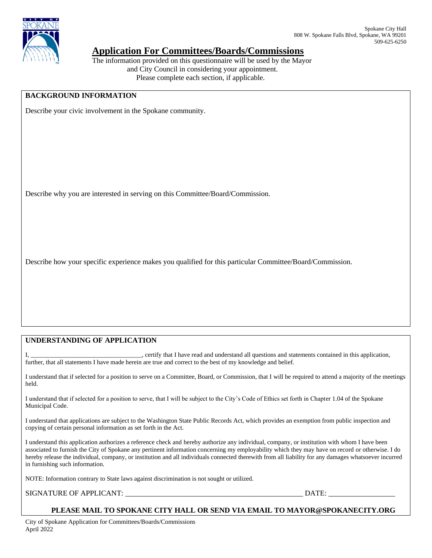

## **Application For Committees/Boards/Commissions**

The information provided on this questionnaire will be used by the Mayor and City Council in considering your appointment. Please complete each section, if applicable.

#### **BACKGROUND INFORMATION**

Describe your civic involvement in the Spokane community.

Describe why you are interested in serving on this Committee/Board/Commission.

Describe how your specific experience makes you qualified for this particular Committee/Board/Commission.

#### **UNDERSTANDING OF APPLICATION**

I, the sect of that I have read and understand all questions and statements contained in this application, further, that all statements I have made herein are true and correct to the best of my knowledge and belief.

I understand that if selected for a position to serve on a Committee, Board, or Commission, that I will be required to attend a majority of the meetings held.

I understand that if selected for a position to serve, that I will be subject to the City's Code of Ethics set forth in Chapter 1.04 of the Spokane Municipal Code.

I understand that applications are subject to the Washington State Public Records Act, which provides an exemption from public inspection and copying of certain personal information as set forth in the Act.

I understand this application authorizes a reference check and hereby authorize any individual, company, or institution with whom I have been associated to furnish the City of Spokane any pertinent information concerning my employability which they may have on record or otherwise. I do hereby release the individual, company, or institution and all individuals connected therewith from all liability for any damages whatsoever incurred in furnishing such information.

NOTE: Information contrary to State laws against discrimination is not sought or utilized.

SIGNATURE OF APPLICANT: \_\_\_\_\_\_\_\_\_\_\_\_\_\_\_\_\_\_\_\_\_\_\_\_\_\_\_\_\_\_\_\_\_\_\_\_\_\_\_\_\_\_\_\_\_\_\_\_ DATE: \_\_\_\_\_\_\_\_\_\_\_\_\_\_\_\_\_\_

#### **PLEASE MAIL TO SPOKANE CITY HALL OR SEND VIA EMAIL TO MAYOR@SPOKANECITY.ORG**